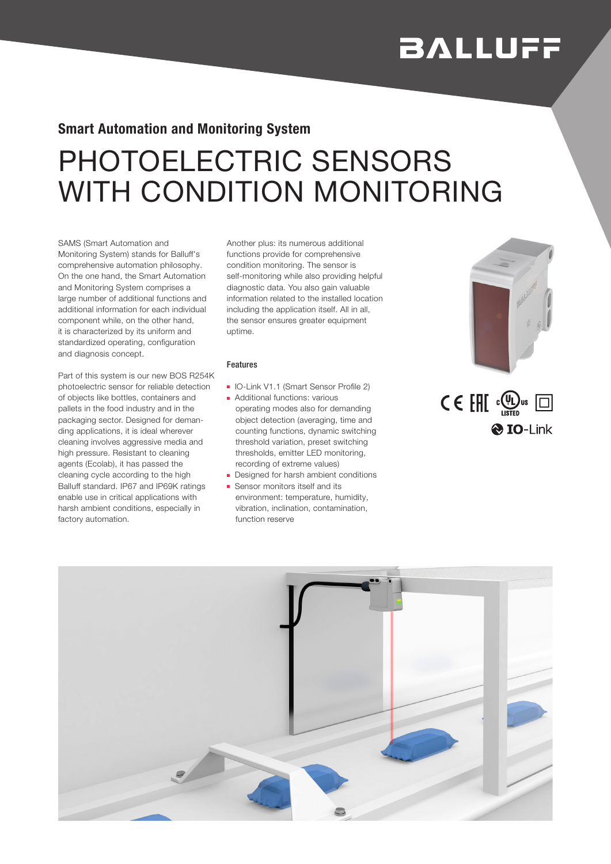# **BALLUFF**

### Smart Automation and Monitoring System

## PHOTOELECTRIC SENSORS WITH CONDITION MONITORING

SAMS (Smart Automation and Monitoring System) stands for Balluff's comprehensive automation philosophy. On the one hand, the Smart Automation and Monitoring System comprises a large number of additional functions and additional information for each individual component while, on the other hand, it is characterized by its uniform and standardized operating, configuration and diagnosis concept.

Part of this system is our new BOS R254K photoelectric sensor for reliable detection of objects like bottles, containers and pallets in the food industry and in the packaging sector. Designed for demanding applications, it is ideal wherever cleaning involves aggressive media and high pressure. Resistant to cleaning agents (Ecolab), it has passed the cleaning cycle according to the high Balluff standard. IP67 and IP69K ratings enable use in critical applications with harsh ambient conditions, especially in factory automation.

Another plus: its numerous additional functions provide for comprehensive condition monitoring. The sensor is self-monitoring while also providing helpful diagnostic data. You also gain valuable information related to the installed location including the application itself. All in all, the sensor ensures greater equipment uptime.

#### Features

- IO-Link V1.1 (Smart Sensor Profile 2)
- Additional functions: various operating modes also for demanding object detection (averaging, time and counting functions, dynamic switching threshold variation, preset switching thresholds, emitter LED monitoring, recording of extreme values)
- Designed for harsh ambient conditions
- Sensor monitors itself and its environment: temperature, humidity, vibration, inclination, contamination, function reserve